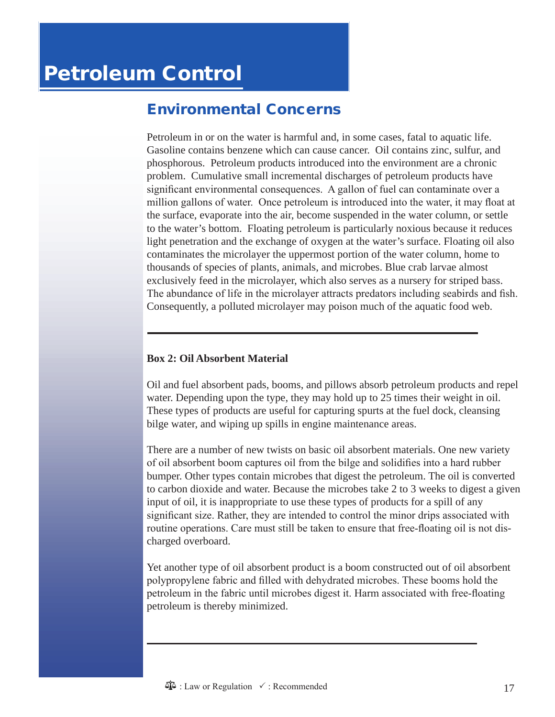# Environmental Concerns

Petroleum in or on the water is harmful and, in some cases, fatal to aquatic life. Gasoline contains benzene which can cause cancer. Oil contains zinc, sulfur, and phosphorous. Petroleum products introduced into the environment are a chronic problem. Cumulative small incremental discharges of petroleum products have significant environmental consequences. A gallon of fuel can contaminate over a million gallons of water. Once petroleum is introduced into the water, it may float at the surface, evaporate into the air, become suspended in the water column, or settle to the water's bottom. Floating petroleum is particularly noxious because it reduces light penetration and the exchange of oxygen at the water's surface. Floating oil also contaminates the microlayer the uppermost portion of the water column, home to thousands of species of plants, animals, and microbes. Blue crab larvae almost exclusively feed in the microlayer, which also serves as a nursery for striped bass. The abundance of life in the microlayer attracts predators including seabirds and fish. Consequently, a polluted microlayer may poison much of the aquatic food web.

#### **Box 2: Oil Absorbent Material**

Oil and fuel absorbent pads, booms, and pillows absorb petroleum products and repel water. Depending upon the type, they may hold up to 25 times their weight in oil. These types of products are useful for capturing spurts at the fuel dock, cleansing bilge water, and wiping up spills in engine maintenance areas.

There are a number of new twists on basic oil absorbent materials. One new variety of oil absorbent boom captures oil from the bilge and solidifies into a hard rubber bumper. Other types contain microbes that digest the petroleum. The oil is converted to carbon dioxide and water. Because the microbes take 2 to 3 weeks to digest a given input of oil, it is inappropriate to use these types of products for a spill of any significant size. Rather, they are intended to control the minor drips associated with routine operations. Care must still be taken to ensure that free-floating oil is not discharged overboard.

Yet another type of oil absorbent product is a boom constructed out of oil absorbent polypropylene fabric and filled with dehydrated microbes. These booms hold the petroleum in the fabric until microbes digest it. Harm associated with free-floating petroleum is thereby minimized.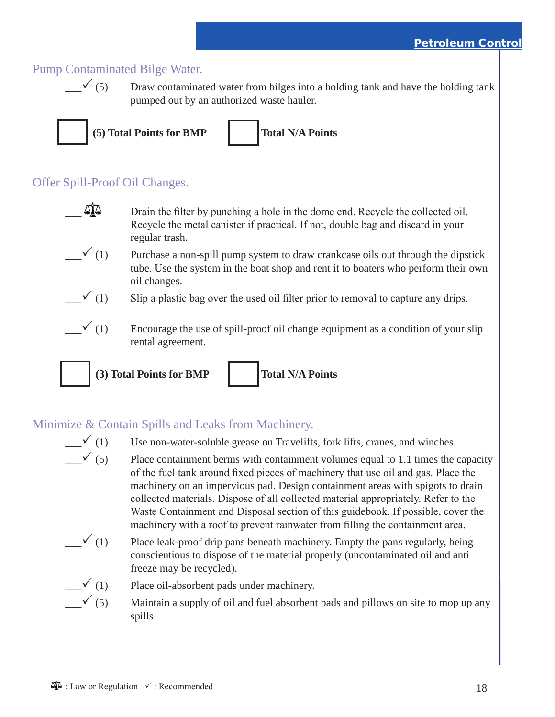## Pump Contaminated Bilge Water.

 $\checkmark$  (5) Draw contaminated water from bilges into a holding tank and have the holding tank pumped out by an authorized waste hauler.



## Offer Spill-Proof Oil Changes.

- $\mathbb{Q}$  Drain the filter by punching a hole in the dome end. Recycle the collected oil. Recycle the metal canister if practical. If not, double bag and discard in your regular trash.
- $\checkmark$  (1) Purchase a non-spill pump system to draw crankcase oils out through the dipstick tube. Use the system in the boat shop and rent it to boaters who perform their own oil changes.
- $\checkmark$  (1) Slip a plastic bag over the used oil filter prior to removal to capture any drips.
	- $\checkmark$  (1) Encourage the use of spill-proof oil change equipment as a condition of your slip rental agreement.



# Minimize & Contain Spills and Leaks from Machinery.

- $\Box$  (1) Use non-water-soluble grease on Travelifts, fork lifts, cranes, and winches.
	- $\swarrow$  (5) Place containment berms with containment volumes equal to 1.1 times the capacity of the fuel tank around fixed pieces of machinery that use oil and gas. Place the machinery on an impervious pad. Design containment areas with spigots to drain collected materials. Dispose of all collected material appropriately. Refer to the Waste Containment and Disposal section of this guidebook. If possible, cover the machinery with a roof to prevent rainwater from filling the containment area.
- $\mathcal{P}(1)$  Place leak-proof drip pans beneath machinery. Empty the pans regularly, being conscientious to dispose of the material properly (uncontaminated oil and anti freeze may be recycled).

$$
\overline{\phantom{a}}^{(1)}
$$

- Place oil-absorbent pads under machinery.
- $\checkmark$  (5) Maintain a supply of oil and fuel absorbent pads and pillows on site to mop up any spills.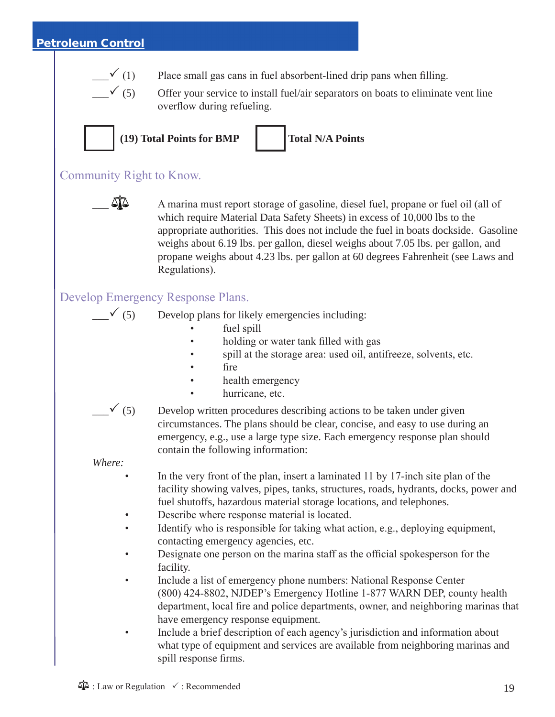### Petroleum Control



 $\checkmark$  (1) Place small gas cans in fuel absorbent-lined drip pans when filling.





**(19) Total Points for BMP Total N/A Points**

### Community Right to Know.



 $\sum_{n=1}^{\infty}$  A marina must report storage of gasoline, diesel fuel, propane or fuel oil (all of which require Material Data Safety Sheets) in excess of 10,000 lbs to the appropriate authorities. This does not include the fuel in boats dockside. Gasoline weighs about 6.19 lbs. per gallon, diesel weighs about 7.05 lbs. per gallon, and propane weighs about 4.23 lbs. per gallon at 60 degrees Fahrenheit (see Laws and Regulations).

### Develop Emergency Response Plans.

 $\checkmark$  (5) Develop plans for likely emergencies including:

- fuel spill
- holding or water tank filled with gas
- spill at the storage area: used oil, antifreeze, solvents, etc.
- fire
- health emergency
- hurricane, etc.



 $\checkmark$  (5) Develop written procedures describing actions to be taken under given circumstances. The plans should be clear, concise, and easy to use during an emergency, e.g., use a large type size. Each emergency response plan should contain the following information:

*Where:*

- In the very front of the plan, insert a laminated 11 by 17-inch site plan of the facility showing valves, pipes, tanks, structures, roads, hydrants, docks, power and fuel shutoffs, hazardous material storage locations, and telephones.
- Describe where response material is located.
- Identify who is responsible for taking what action, e.g., deploying equipment, contacting emergency agencies, etc.
- Designate one person on the marina staff as the official spokesperson for the facility.
- Include a list of emergency phone numbers: National Response Center (800) 424-8802, NJDEP's Emergency Hotline 1-877 WARN DEP, county health department, local fire and police departments, owner, and neighboring marinas that have emergency response equipment.
- Include a brief description of each agency's jurisdiction and information about what type of equipment and services are available from neighboring marinas and spill response firms.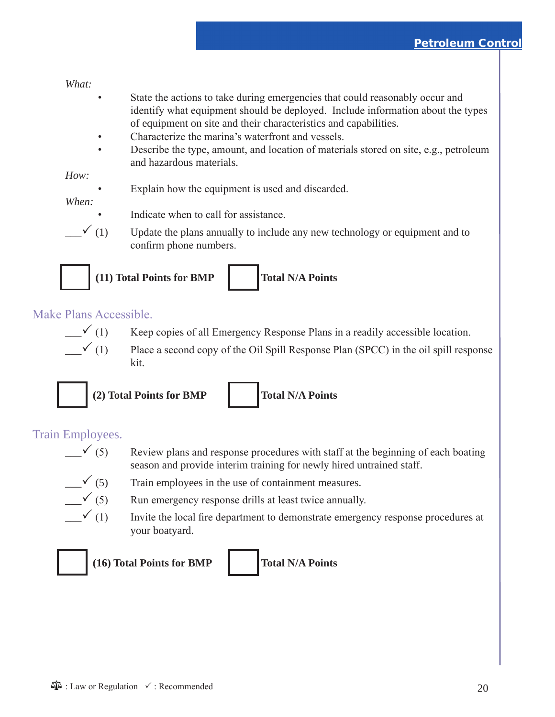#### *What:*

- State the actions to take during emergencies that could reasonably occur and identify what equipment should be deployed. Include information about the types of equipment on site and their characteristics and capabilities.
- Characterize the marina's waterfront and vessels.
- Describe the type, amount, and location of materials stored on site, e.g., petroleum and hazardous materials.

#### *How:*

Explain how the equipment is used and discarded.

#### *When:*

- Indicate when to call for assistance.
- 





**(11) Total Points for BMP Total N/A Points**



# Make Plans Accessible.



- $\sim$  (1) Keep copies of all Emergency Response Plans in a readily accessible location.
- $\checkmark$  (1) Place a second copy of the Oil Spill Response Plan (SPCC) in the oil spill response kit.



**(2) Total Points for BMP Total N/A Points**

### Train Employees.

- $\leq$  (5) Review plans and response procedures with staff at the beginning of each boating season and provide interim training for newly hired untrained staff.
- $\checkmark$  (5) Train employees in the use of containment measures.



- $\sqrt{(5)}$  Run emergency response drills at least twice annually.
- $\sim$  (1) Invite the local fire department to demonstrate emergency response procedures at your boatyard.



**(16) Total Points for BMP Total N/A Points**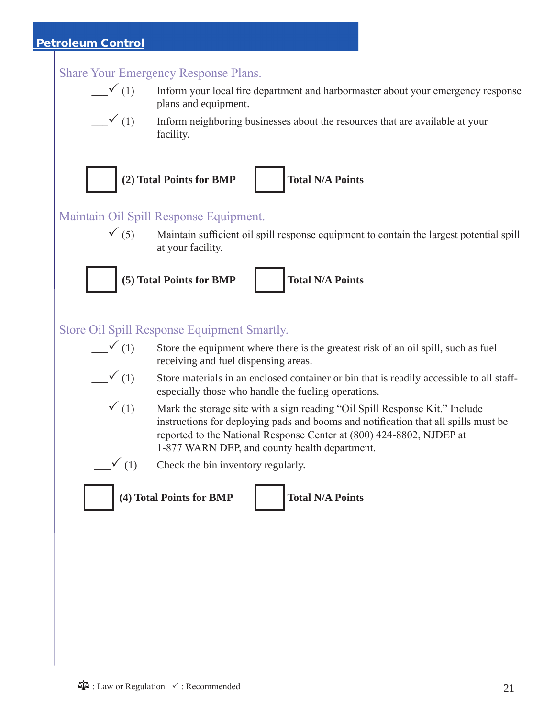